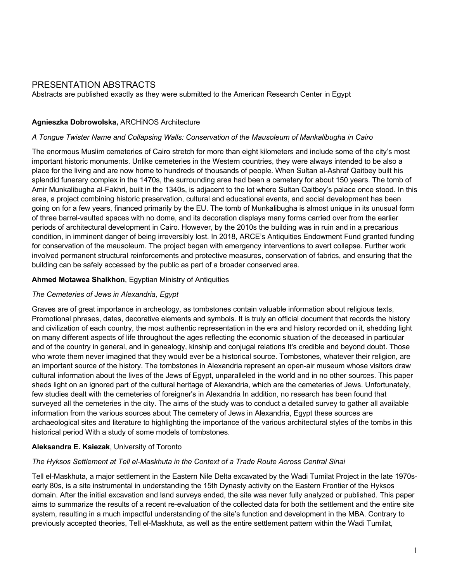# PRESENTATION ABSTRACTS

Abstracts are published exactly as they were submitted to the American Research Center in Egypt

### **Agnieszka Dobrowolska,** ARCHiNOS Architecture

#### *A Tongue Twister Name and Collapsing Walls: Conservation of the Mausoleum of Mankalibugha in Cairo*

The enormous Muslim cemeteries of Cairo stretch for more than eight kilometers and include some of the city's most important historic monuments. Unlike cemeteries in the Western countries, they were always intended to be also a place for the living and are now home to hundreds of thousands of people. When Sultan al-Ashraf Qaitbey built his splendid funerary complex in the 1470s, the surrounding area had been a cemetery for about 150 years. The tomb of Amir Munkalibugha al-Fakhri, built in the 1340s, is adjacent to the lot where Sultan Qaitbey's palace once stood. In this area, a project combining historic preservation, cultural and educational events, and social development has been going on for a few years, financed primarily by the EU. The tomb of Munkalibugha is almost unique in its unusual form of three barrel-vaulted spaces with no dome, and its decoration displays many forms carried over from the earlier periods of architectural development in Cairo. However, by the 2010s the building was in ruin and in a precarious condition, in imminent danger of being irreversibly lost. In 2018, ARCE's Antiquities Endowment Fund granted funding for conservation of the mausoleum. The project began with emergency interventions to avert collapse. Further work involved permanent structural reinforcements and protective measures, conservation of fabrics, and ensuring that the building can be safely accessed by the public as part of a broader conserved area.

### **Ahmed Motawea Shaikhon**, Egyptian Ministry of Antiquities

### *The Cemeteries of Jews in Alexandria, Egypt*

Graves are of great importance in archeology, as tombstones contain valuable information about religious texts, Promotional phrases, dates, decorative elements and symbols. It is truly an official document that records the history and civilization of each country, the most authentic representation in the era and history recorded on it, shedding light on many different aspects of life throughout the ages reflecting the economic situation of the deceased in particular and of the country in general, and in genealogy, kinship and conjugal relations It's credible and beyond doubt. Those who wrote them never imagined that they would ever be a historical source. Tombstones, whatever their religion, are an important source of the history. The tombstones in Alexandria represent an open-air museum whose visitors draw cultural information about the lives of the Jews of Egypt, unparalleled in the world and in no other sources. This paper sheds light on an ignored part of the cultural heritage of Alexandria, which are the cemeteries of Jews. Unfortunately, few studies dealt with the cemeteries of foreigner's in Alexandria In addition, no research has been found that surveyed all the cemeteries in the city. The aims of the study was to conduct a detailed survey to gather all available information from the various sources about The cemetery of Jews in Alexandria, Egypt these sources are archaeological sites and literature to highlighting the importance of the various architectural styles of the tombs in this historical period With a study of some models of tombstones.

### **Aleksandra E. Ksiezak**, University of Toronto

### *The Hyksos Settlement at Tell el-Maskhuta in the Context of a Trade Route Across Central Sinai*

Tell el-Maskhuta, a major settlement in the Eastern Nile Delta excavated by the Wadi Tumilat Project in the late 1970searly 80s, is a site instrumental in understanding the 15th Dynasty activity on the Eastern Frontier of the Hyksos domain. After the initial excavation and land surveys ended, the site was never fully analyzed or published. This paper aims to summarize the results of a recent re-evaluation of the collected data for both the settlement and the entire site system, resulting in a much impactful understanding of the site's function and development in the MBA. Contrary to previously accepted theories, Tell el-Maskhuta, as well as the entire settlement pattern within the Wadi Tumilat,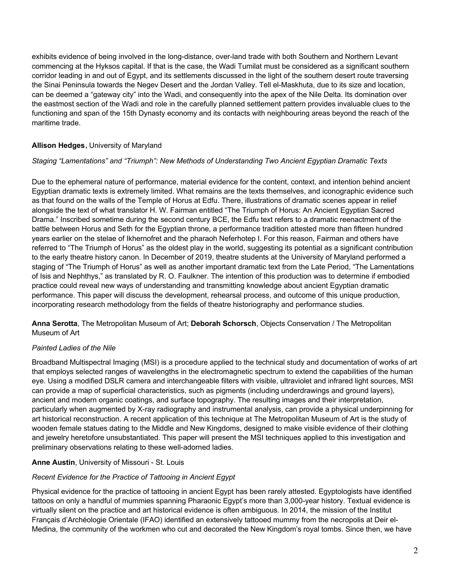exhibits evidence of being involved in the long-distance, over-land trade with both Southern and Northern Levant commencing at the Hyksos capital. If that is the case, the Wadi Tumilat must be considered as a significant southern corridor leading in and out of Egypt, and its settlements discussed in the light of the southern desert route traversing the Sinai Peninsula towards the Negev Desert and the Jordan Valley. Tell el-Maskhuta, due to its size and location, can be deemed a "gateway city" into the Wadi, and consequently into the apex of the Nile Delta. Its domination over the eastmost section of the Wadi and role in the carefully planned settlement pattern provides invaluable clues to the functioning and span of the 15th Dynasty economy and its contacts with neighbouring areas beyond the reach of the maritime trade.

# **Allison Hedges**, University of Maryland

## *Staging "Lamentations" and "Triumph": New Methods of Understanding Two Ancient Egyptian Dramatic Texts*

Due to the ephemeral nature of performance, material evidence for the content, context, and intention behind ancient Egyptian dramatic texts is extremely limited. What remains are the texts themselves, and iconographic evidence such as that found on the walls of the Temple of Horus at Edfu. There, illustrations of dramatic scenes appear in relief alongside the text of what translator H. W. Fairman entitled "The Triumph of Horus: An Ancient Egyptian Sacred Drama." Inscribed sometime during the second century BCE, the Edfu text refers to a dramatic reenactment of the battle between Horus and Seth for the Egyptian throne, a performance tradition attested more than fifteen hundred years earlier on the stelae of Ikhernofret and the pharaoh Neferhotep I. For this reason, Fairman and others have referred to "The Triumph of Horus" as the oldest play in the world, suggesting its potential as a significant contribution to the early theatre history canon. In December of 2019, theatre students at the University of Maryland performed a staging of "The Triumph of Horus" as well as another important dramatic text from the Late Period, "The Lamentations of Isis and Nephthys," as translated by R. O. Faulkner. The intention of this production was to determine if embodied practice could reveal new ways of understanding and transmitting knowledge about ancient Egyptian dramatic performance. This paper will discuss the development, rehearsal process, and outcome of this unique production, incorporating research methodology from the fields of theatre historiography and performance studies.

**Anna Serotta**, The Metropolitan Museum of Art; **Deborah Schorsch**, Objects Conservation / The Metropolitan Museum of Art

## *Painted Ladies of the Nile*

Broadband Multispectral Imaging (MSI) is a procedure applied to the technical study and documentation of works of art that employs selected ranges of wavelengths in the electromagnetic spectrum to extend the capabilities of the human eye. Using a modified DSLR camera and interchangeable filters with visible, ultraviolet and infrared light sources, MSI can provide a map of superficial characteristics, such as pigments (including underdrawings and ground layers), ancient and modern organic coatings, and surface topography. The resulting images and their interpretation, particularly when augmented by X-ray radiography and instrumental analysis, can provide a physical underpinning for art historical reconstruction. A recent application of this technique at The Metropolitan Museum of Art is the study of wooden female statues dating to the Middle and New Kingdoms, designed to make visible evidence of their clothing and jewelry heretofore unsubstantiated. This paper will present the MSI techniques applied to this investigation and preliminary observations relating to these well-adorned ladies.

## **Anne Austin**, University of Missouri - St. Louis

### *Recent Evidence for the Practice of Tattooing in Ancient Egypt*

Physical evidence for the practice of tattooing in ancient Egypt has been rarely attested. Egyptologists have identified tattoos on only a handful of mummies spanning Pharaonic Egypt's more than 3,000-year history. Textual evidence is virtually silent on the practice and art historical evidence is often ambiguous. In 2014, the mission of the Institut Français d'Archéologie Orientale (IFAO) identified an extensively tattooed mummy from the necropolis at Deir el-Medina, the community of the workmen who cut and decorated the New Kingdom's royal tombs. Since then, we have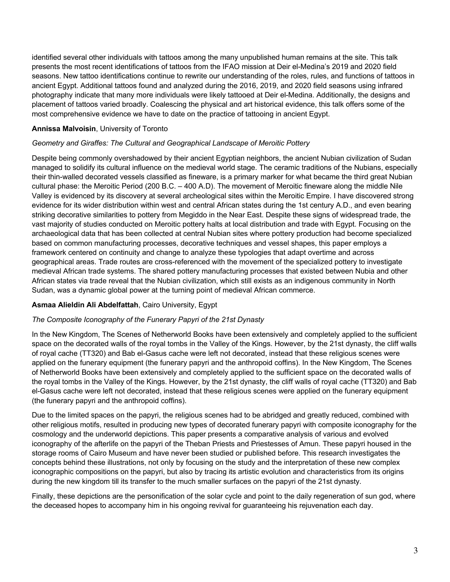identified several other individuals with tattoos among the many unpublished human remains at the site. This talk presents the most recent identifications of tattoos from the IFAO mission at Deir el-Medina's 2019 and 2020 field seasons. New tattoo identifications continue to rewrite our understanding of the roles, rules, and functions of tattoos in ancient Egypt. Additional tattoos found and analyzed during the 2016, 2019, and 2020 field seasons using infrared photography indicate that many more individuals were likely tattooed at Deir el-Medina. Additionally, the designs and placement of tattoos varied broadly. Coalescing the physical and art historical evidence, this talk offers some of the most comprehensive evidence we have to date on the practice of tattooing in ancient Egypt.

### **Annissa Malvoisin**, University of Toronto

### *Geometry and Giraffes: The Cultural and Geographical Landscape of Meroitic Pottery*

Despite being commonly overshadowed by their ancient Egyptian neighbors, the ancient Nubian civilization of Sudan managed to solidify its cultural influence on the medieval world stage. The ceramic traditions of the Nubians, especially their thin-walled decorated vessels classified as fineware, is a primary marker for what became the third great Nubian cultural phase: the Meroitic Period (200 B.C. – 400 A.D). The movement of Meroitic fineware along the middle Nile Valley is evidenced by its discovery at several archeological sites within the Meroitic Empire. I have discovered strong evidence for its wider distribution within west and central African states during the 1st century A.D., and even bearing striking decorative similarities to pottery from Megiddo in the Near East. Despite these signs of widespread trade, the vast majority of studies conducted on Meroitic pottery halts at local distribution and trade with Egypt. Focusing on the archaeological data that has been collected at central Nubian sites where pottery production had become specialized based on common manufacturing processes, decorative techniques and vessel shapes, this paper employs a framework centered on continuity and change to analyze these typologies that adapt overtime and across geographical areas. Trade routes are cross-referenced with the movement of the specialized pottery to investigate medieval African trade systems. The shared pottery manufacturing processes that existed between Nubia and other African states via trade reveal that the Nubian civilization, which still exists as an indigenous community in North Sudan, was a dynamic global power at the turning point of medieval African commerce.

### **Asmaa Alieldin Ali Abdelfattah**, Cairo University, Egypt

### *The Composite Iconography of the Funerary Papyri of the 21st Dynasty*

In the New Kingdom, The Scenes of Netherworld Books have been extensively and completely applied to the sufficient space on the decorated walls of the royal tombs in the Valley of the Kings. However, by the 21st dynasty, the cliff walls of royal cache (TT320) and Bab el-Gasus cache were left not decorated, instead that these religious scenes were applied on the funerary equipment (the funerary papyri and the anthropoid coffins). In the New Kingdom, The Scenes of Netherworld Books have been extensively and completely applied to the sufficient space on the decorated walls of the royal tombs in the Valley of the Kings. However, by the 21st dynasty, the cliff walls of royal cache (TT320) and Bab el-Gasus cache were left not decorated, instead that these religious scenes were applied on the funerary equipment (the funerary papyri and the anthropoid coffins).

Due to the limited spaces on the papyri, the religious scenes had to be abridged and greatly reduced, combined with other religious motifs, resulted in producing new types of decorated funerary papyri with composite iconography for the cosmology and the underworld depictions. This paper presents a comparative analysis of various and evolved iconography of the afterlife on the papyri of the Theban Priests and Priestesses of Amun. These papyri housed in the storage rooms of Cairo Museum and have never been studied or published before. This research investigates the concepts behind these illustrations, not only by focusing on the study and the interpretation of these new complex iconographic compositions on the papyri, but also by tracing its artistic evolution and characteristics from its origins during the new kingdom till its transfer to the much smaller surfaces on the papyri of the 21st dynasty.

Finally, these depictions are the personification of the solar cycle and point to the daily regeneration of sun god, where the deceased hopes to accompany him in his ongoing revival for guaranteeing his rejuvenation each day.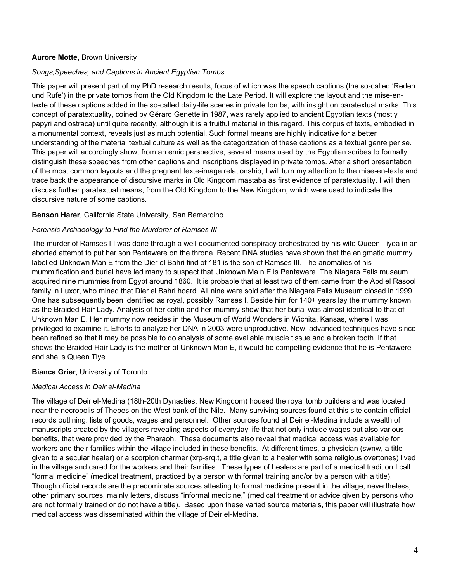### **Aurore Motte**, Brown University

#### *Songs,Speeches, and Captions in Ancient Egyptian Tombs*

This paper will present part of my PhD research results, focus of which was the speech captions (the so-called 'Reden und Rufe') in the private tombs from the Old Kingdom to the Late Period. It will explore the layout and the mise-entexte of these captions added in the so-called daily-life scenes in private tombs, with insight on paratextual marks. This concept of paratextuality, coined by Gérard Genette in 1987, was rarely applied to ancient Egyptian texts (mostly papyri and ostraca) until quite recently, although it is a fruitful material in this regard. This corpus of texts, embodied in a monumental context, reveals just as much potential. Such formal means are highly indicative for a better understanding of the material textual culture as well as the categorization of these captions as a textual genre per se. This paper will accordingly show, from an emic perspective, several means used by the Egyptian scribes to formally distinguish these speeches from other captions and inscriptions displayed in private tombs. After a short presentation of the most common layouts and the pregnant texte-image relationship, I will turn my attention to the mise-en-texte and trace back the appearance of discursive marks in Old Kingdom mastaba as first evidence of paratextuality. I will then discuss further paratextual means, from the Old Kingdom to the New Kingdom, which were used to indicate the discursive nature of some captions.

#### **Benson Harer***,* California State University, San Bernardino

#### *Forensic Archaeology to Find the Murderer of Ramses III*

The murder of Ramses III was done through a well-documented conspiracy orchestrated by his wife Queen Tiyea in an aborted attempt to put her son Pentawere on the throne. Recent DNA studies have shown that the enigmatic mummy labelled Unknown Man E from the Dier el Bahri find of 181 is the son of Ramses III. The anomalies of his mummification and burial have led many to suspect that Unknown Ma n E is Pentawere. The Niagara Falls museum acquired nine mummies from Egypt around 1860. It is probable that at least two of them came from the Abd el Rasool family in Luxor, who mined that Dier el Bahri hoard. All nine were sold after the Niagara Falls Museum closed in 1999. One has subsequently been identified as royal, possibly Ramses I. Beside him for 140+ years lay the mummy known as the Braided Hair Lady. Analysis of her coffin and her mummy show that her burial was almost identical to that of Unknown Man E. Her mummy now resides in the Museum of World Wonders in Wichita, Kansas, where I was privileged to examine it. Efforts to analyze her DNA in 2003 were unproductive. New, advanced techniques have since been refined so that it may be possible to do analysis of some available muscle tissue and a broken tooth. If that shows the Braided Hair Lady is the mother of Unknown Man E, it would be compelling evidence that he is Pentawere and she is Queen Tiye.

### **Bianca Grier**, University of Toronto

#### *Medical Access in Deir el-Medina*

The village of Deir el-Medina (18th-20th Dynasties, New Kingdom) housed the royal tomb builders and was located near the necropolis of Thebes on the West bank of the Nile. Many surviving sources found at this site contain official records outlining: lists of goods, wages and personnel. Other sources found at Deir el-Medina include a wealth of manuscripts created by the villagers revealing aspects of everyday life that not only include wages but also various benefits, that were provided by the Pharaoh. These documents also reveal that medical access was available for workers and their families within the village included in these benefits. At different times, a physician (swnw, a title given to a secular healer) or a scorpion charmer (xrp-srq.t, a title given to a healer with some religious overtones) lived in the village and cared for the workers and their families. These types of healers are part of a medical tradition I call "formal medicine" (medical treatment, practiced by a person with formal training and/or by a person with a title). Though official records are the predominate sources attesting to formal medicine present in the village, nevertheless, other primary sources, mainly letters, discuss "informal medicine," (medical treatment or advice given by persons who are not formally trained or do not have a title). Based upon these varied source materials, this paper will illustrate how medical access was disseminated within the village of Deir el-Medina.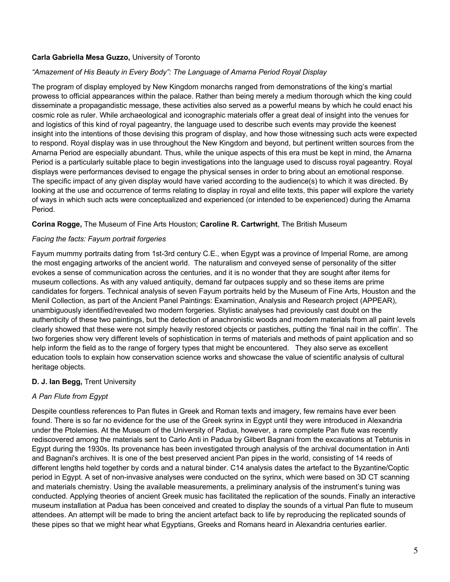### **Carla Gabriella Mesa Guzzo,** University of Toronto

### *"Amazement of His Beauty in Every Body": The Language of Amarna Period Royal Display*

The program of display employed by New Kingdom monarchs ranged from demonstrations of the king's martial prowess to official appearances within the palace. Rather than being merely a medium thorough which the king could disseminate a propagandistic message, these activities also served as a powerful means by which he could enact his cosmic role as ruler. While archaeological and iconographic materials offer a great deal of insight into the venues for and logistics of this kind of royal pageantry, the language used to describe such events may provide the keenest insight into the intentions of those devising this program of display, and how those witnessing such acts were expected to respond. Royal display was in use throughout the New Kingdom and beyond, but pertinent written sources from the Amarna Period are especially abundant. Thus, while the unique aspects of this era must be kept in mind, the Amarna Period is a particularly suitable place to begin investigations into the language used to discuss royal pageantry. Royal displays were performances devised to engage the physical senses in order to bring about an emotional response. The specific impact of any given display would have varied according to the audience(s) to which it was directed. By looking at the use and occurrence of terms relating to display in royal and elite texts, this paper will explore the variety of ways in which such acts were conceptualized and experienced (or intended to be experienced) during the Amarna Period.

### **Corina Rogge,** The Museum of Fine Arts Houston; **Caroline R. Cartwright**, The British Museum

#### *Facing the facts: Fayum portrait forgeries*

Fayum mummy portraits dating from 1st-3rd century C.E., when Egypt was a province of Imperial Rome, are among the most engaging artworks of the ancient world. The naturalism and conveyed sense of personality of the sitter evokes a sense of communication across the centuries, and it is no wonder that they are sought after items for museum collections. As with any valued antiquity, demand far outpaces supply and so these items are prime candidates for forgers. Technical analysis of seven Fayum portraits held by the Museum of Fine Arts, Houston and the Menil Collection, as part of the Ancient Panel Paintings: Examination, Analysis and Research project (APPEAR), unambiguously identified/revealed two modern forgeries. Stylistic analyses had previously cast doubt on the authenticity of these two paintings, but the detection of anachronistic woods and modern materials from all paint levels clearly showed that these were not simply heavily restored objects or pastiches, putting the 'final nail in the coffin'. The two forgeries show very different levels of sophistication in terms of materials and methods of paint application and so help inform the field as to the range of forgery types that might be encountered. They also serve as excellent education tools to explain how conservation science works and showcase the value of scientific analysis of cultural heritage objects.

#### **D. J. Ian Begg,** Trent University

### *A Pan Flute from Egypt*

Despite countless references to Pan flutes in Greek and Roman texts and imagery, few remains have ever been found. There is so far no evidence for the use of the Greek syrinx in Egypt until they were introduced in Alexandria under the Ptolemies. At the Museum of the University of Padua, however, a rare complete Pan flute was recently rediscovered among the materials sent to Carlo Anti in Padua by Gilbert Bagnani from the excavations at Tebtunis in Egypt during the 1930s. Its provenance has been investigated through analysis of the archival documentation in Anti and Bagnani's archives. It is one of the best preserved ancient Pan pipes in the world, consisting of 14 reeds of different lengths held together by cords and a natural binder. C14 analysis dates the artefact to the Byzantine/Coptic period in Egypt. A set of non-invasive analyses were conducted on the syrinx, which were based on 3D CT scanning and materials chemistry. Using the available measurements, a preliminary analysis of the instrument's tuning was conducted. Applying theories of ancient Greek music has facilitated the replication of the sounds. Finally an interactive museum installation at Padua has been conceived and created to display the sounds of a virtual Pan flute to museum attendees. An attempt will be made to bring the ancient artefact back to life by reproducing the replicated sounds of these pipes so that we might hear what Egyptians, Greeks and Romans heard in Alexandria centuries earlier.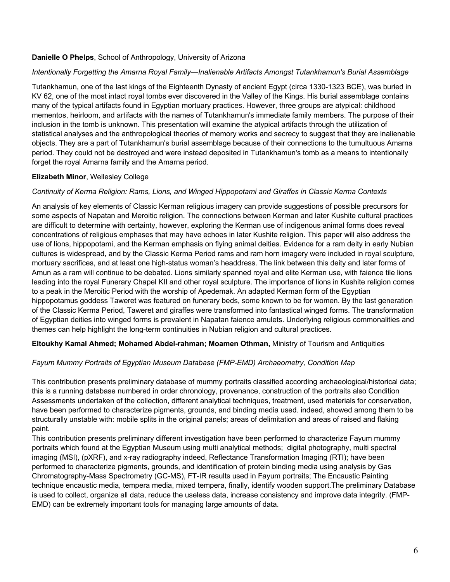### **Danielle O Phelps**, School of Anthropology, University of Arizona

#### *Intentionally Forgetting the Amarna Royal Family—Inalienable Artifacts Amongst Tutankhamun's Burial Assemblage*

Tutankhamun, one of the last kings of the Eighteenth Dynasty of ancient Egypt (circa 1330-1323 BCE), was buried in KV 62, one of the most intact royal tombs ever discovered in the Valley of the Kings. His burial assemblage contains many of the typical artifacts found in Egyptian mortuary practices. However, three groups are atypical: childhood mementos, heirloom, and artifacts with the names of Tutankhamun's immediate family members. The purpose of their inclusion in the tomb is unknown. This presentation will examine the atypical artifacts through the utilization of statistical analyses and the anthropological theories of memory works and secrecy to suggest that they are inalienable objects. They are a part of Tutankhamun's burial assemblage because of their connections to the tumultuous Amarna period. They could not be destroyed and were instead deposited in Tutankhamun's tomb as a means to intentionally forget the royal Amarna family and the Amarna period.

### **Elizabeth Minor**, Wellesley College

#### *Continuity of Kerma Religion: Rams, Lions, and Winged Hippopotami and Giraffes in Classic Kerma Contexts*

An analysis of key elements of Classic Kerman religious imagery can provide suggestions of possible precursors for some aspects of Napatan and Meroitic religion. The connections between Kerman and later Kushite cultural practices are difficult to determine with certainty, however, exploring the Kerman use of indigenous animal forms does reveal concentrations of religious emphases that may have echoes in later Kushite religion. This paper will also address the use of lions, hippopotami, and the Kerman emphasis on flying animal deities. Evidence for a ram deity in early Nubian cultures is widespread, and by the Classic Kerma Period rams and ram horn imagery were included in royal sculpture, mortuary sacrifices, and at least one high-status woman's headdress. The link between this deity and later forms of Amun as a ram will continue to be debated. Lions similarly spanned royal and elite Kerman use, with faience tile lions leading into the royal Funerary Chapel KII and other royal sculpture. The importance of lions in Kushite religion comes to a peak in the Meroitic Period with the worship of Apedemak. An adapted Kerman form of the Egyptian hippopotamus goddess Taweret was featured on funerary beds, some known to be for women. By the last generation of the Classic Kerma Period, Taweret and giraffes were transformed into fantastical winged forms. The transformation of Egyptian deities into winged forms is prevalent in Napatan faience amulets. Underlying religious commonalities and themes can help highlight the long-term continuities in Nubian religion and cultural practices.

#### **Eltoukhy Kamal Ahmed; Mohamed Abdel-rahman; Moamen Othman,** Ministry of Tourism and Antiquities

### *Fayum Mummy Portraits of Egyptian Museum Database (FMP-EMD) Archaeometry, Condition Map*

This contribution presents preliminary database of mummy portraits classified according archaeological/historical data; this is a running database numbered in order chronology, provenance, construction of the portraits also Condition Assessments undertaken of the collection, different analytical techniques, treatment, used materials for conservation, have been performed to characterize pigments, grounds, and binding media used. indeed, showed among them to be structurally unstable with: mobile splits in the original panels; areas of delimitation and areas of raised and flaking paint.

This contribution presents preliminary different investigation have been performed to characterize Fayum mummy portraits which found at the Egyptian Museum using multi analytical methods; digital photography, multi spectral imaging (MSI), (pXRF), and x-ray radiography indeed, Reflectance Transformation Imaging (RTI); have been performed to characterize pigments, grounds, and identification of protein binding media using analysis by Gas Chromatography-Mass Spectrometry (GC-MS), FT-IR results used in Fayum portraits; The Encaustic Painting technique encaustic media, tempera media, mixed tempera, finally, identify wooden support.The preliminary Database is used to collect, organize all data, reduce the useless data, increase consistency and improve data integrity. (FMP-EMD) can be extremely important tools for managing large amounts of data.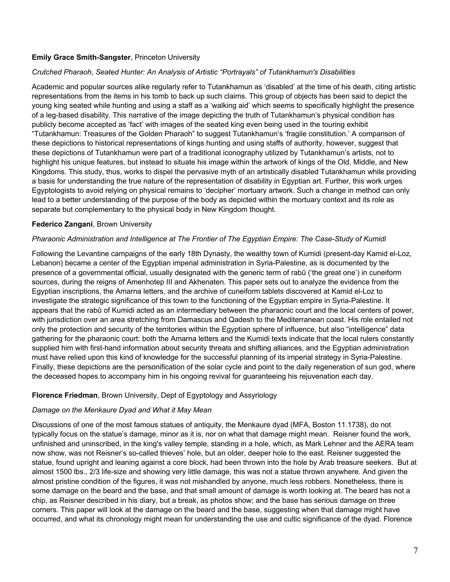### **Emily Grace Smith-Sangster**, Princeton University

#### *Crutched Pharaoh, Seated Hunter: An Analysis of Artistic "Portrayals" of Tutankhamun's Disabilities*

Academic and popular sources alike regularly refer to Tutankhamun as 'disabled' at the time of his death, citing artistic representations from the items in his tomb to back up such claims. This group of objects has been said to depict the young king seated while hunting and using a staff as a 'walking aid' which seems to specifically highlight the presence of a leg-based disability. This narrative of the image depicting the truth of Tutankhamun's physical condition has publicly become accepted as 'fact' with images of the seated king even being used in the touring exhibit "Tutankhamun: Treasures of the Golden Pharaoh" to suggest Tutankhamun's 'fragile constitution.' A comparison of these depictions to historical representations of kings hunting and using staffs of authority, however, suggest that these depictions of Tutankhamun were part of a traditional iconography utilized by Tutankhamun's artists, not to highlight his unique features, but instead to situate his image within the artwork of kings of the Old, Middle, and New Kingdoms. This study, thus, works to dispel the pervasive myth of an artistically disabled Tutankhamun while providing a basis for understanding the true nature of the representation of disability in Egyptian art. Further, this work urges Egyptologists to avoid relying on physical remains to 'decipher' mortuary artwork. Such a change in method can only lead to a better understanding of the purpose of the body as depicted within the mortuary context and its role as separate but complementary to the physical body in New Kingdom thought.

### **Federico Zangani**, Brown University

#### *Pharaonic Administration and Intelligence at The Frontier of The Egyptian Empire: The Case-Study of Kumidi*

Following the Levantine campaigns of the early 18th Dynasty, the wealthy town of Kumidi (present-day Kamid el-Loz, Lebanon) became a center of the Egyptian imperial administration in Syria-Palestine, as is documented by the presence of a governmental official, usually designated with the generic term of rabû ('the great one') in cuneiform sources, during the reigns of Amenhotep III and Akhenaten. This paper sets out to analyze the evidence from the Egyptian inscriptions, the Amarna letters, and the archive of cuneiform tablets discovered at Kamid el-Loz to investigate the strategic significance of this town to the functioning of the Egyptian empire in Syria-Palestine. It appears that the rabû of Kumidi acted as an intermediary between the pharaonic court and the local centers of power, with jurisdiction over an area stretching from Damascus and Qadesh to the Mediterranean coast. His role entailed not only the protection and security of the territories within the Egyptian sphere of influence, but also "intelligence" data gathering for the pharaonic court: both the Amarna letters and the Kumidi texts indicate that the local rulers constantly supplied him with first-hand information about security threats and shifting alliances, and the Egyptian administration must have relied upon this kind of knowledge for the successful planning of its imperial strategy in Syria-Palestine. Finally, these depictions are the personification of the solar cycle and point to the daily regeneration of sun god, where the deceased hopes to accompany him in his ongoing revival for guaranteeing his rejuvenation each day.

#### **Florence Friedman**, Brown University, Dept of Egyptology and Assyriology

#### *Damage on the Menkaure Dyad and What it May Mean*

Discussions of one of the most famous statues of antiquity, the Menkaure dyad (MFA, Boston 11.1738), do not typically focus on the statue's damage, minor as it is, nor on what that damage might mean. Reisner found the work, unfinished and uninscribed, in the king's valley temple, standing in a hole, which, as Mark Lehner and the AERA team now show, was not Reisner's so-called thieves' hole, but an older, deeper hole to the east. Reisner suggested the statue, found upright and leaning against a core block, had been thrown into the hole by Arab treasure seekers. But at almost 1500 lbs., 2/3 life-size and showing very little damage, this was not a statue thrown anywhere. And given the almost pristine condition of the figures, it was not mishandled by anyone, much less robbers. Nonetheless, there is some damage on the beard and the base, and that small amount of damage is worth looking at. The beard has not a chip, as Reisner described in his diary, but a break, as photos show; and the base has serious damage on three corners. This paper will look at the damage on the beard and the base, suggesting when that damage might have occurred, and what its chronology might mean for understanding the use and cultic significance of the dyad. Florence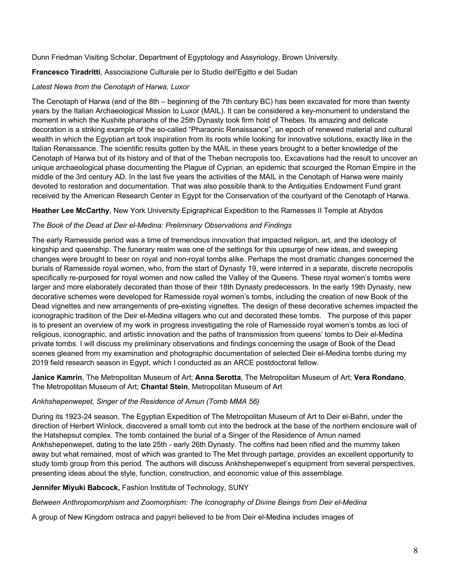Dunn Friedman Visiting Scholar, Department of Egyptology and Assyriology, Brown University*.*

### **Francesco Tiradritti**, Associazione Culturale per lo Studio dell'Egitto e del Sudan

### *Latest News from the Cenotaph of Harwa, Luxor*

The Cenotaph of Harwa (end of the 8th – beginning of the 7th century BC) has been excavated for more than twenty years by the Italian Archaeological Mission to Luxor (MAIL). It can be considered a key-monument to understand the moment in which the Kushite pharaohs of the 25th Dynasty took firm hold of Thebes. Its amazing and delicate decoration is a striking example of the so-called "Pharaonic Renaissance", an epoch of renewed material and cultural wealth in which the Egyptian art took inspiration from its roots while looking for innovative solutions, exactly like in the Italian Renaissance. The scientific results gotten by the MAIL in these years brought to a better knowledge of the Cenotaph of Harwa but of its history and of that of the Theban necropolis too. Excavations had the result to uncover an unique archaeological phase documenting the Plague of Cyprian, an epidemic that scourged the Roman Empire in the middle of the 3rd century AD. In the last five years the activities of the MAIL in the Cenotaph of Harwa were mainly devoted to restoration and documentation. That was also possible thank to the Antiquities Endowment Fund grant received by the American Research Center in Egypt for the Conservation of the courtyard of the Cenotaph of Harwa.

### **Heather Lee McCarthy**, New York University Epigraphical Expedition to the Ramesses II Temple at Abydos

### *The Book of the Dead at Deir el-Medina: Preliminary Observations and Findings*

The early Ramesside period was a time of tremendous innovation that impacted religion, art, and the ideology of kingship and queenship. The funerary realm was one of the settings for this upsurge of new ideas, and sweeping changes were brought to bear on royal and non-royal tombs alike. Perhaps the most dramatic changes concerned the burials of Ramesside royal women, who, from the start of Dynasty 19, were interred in a separate, discrete necropolis specifically re-purposed for royal women and now called the Valley of the Queens. These royal women's tombs were larger and more elaborately decorated than those of their 18th Dynasty predecessors. In the early 19th Dynasty, new decorative schemes were developed for Ramesside royal women's tombs, including the creation of new Book of the Dead vignettes and new arrangements of pre-existing vignettes. The design of these decorative schemes impacted the iconographic tradition of the Deir el-Medina villagers who cut and decorated these tombs. The purpose of this paper is to present an overview of my work in progress investigating the role of Ramesside royal women's tombs as loci of religious, iconographic, and artistic innovation and the paths of transmission from queens' tombs to Deir el-Medina private tombs. I will discuss my preliminary observations and findings concerning the usage of Book of the Dead scenes gleaned from my examination and photographic documentation of selected Deir el-Medina tombs during my 2019 field research season in Egypt, which I conducted as an ARCE postdoctoral fellow.

### **Janice Kamrin**, The Metropolitan Museum of Art; **Anna Serotta**, The Metropolitan Museum of Art; **Vera Rondano**, The Metropolitan Museum of Art; **Chantal Stein**, Metropolitan Museum of Art

### *Ankhshepenwepet, Singer of the Residence of Amun (Tomb MMA 56)*

During its 1923-24 season, The Egyptian Expedition of The Metropolitan Museum of Art to Deir el-Bahri, under the direction of Herbert Winlock, discovered a small tomb cut into the bedrock at the base of the northern enclosure wall of the Hatshepsut complex. The tomb contained the burial of a Singer of the Residence of Amun named Ankhshepenwepet, dating to the late 25th - early 26th Dynasty. The coffins had been rifled and the mummy taken away but what remained, most of which was granted to The Met through partage, provides an excellent opportunity to study tomb group from this period. The authors will discuss Ankhshepenwepet's equipment from several perspectives, presenting ideas about the style, function, construction, and economic value of this assemblage.

## **Jennifer Miyuki Babcock,** Fashion Institute of Technology, SUNY

*Between Anthropomorphism and Zoomorphism: The Iconography of Divine Beings from Deir el-Medina*

A group of New Kingdom ostraca and papyri believed to be from Deir el-Medina includes images of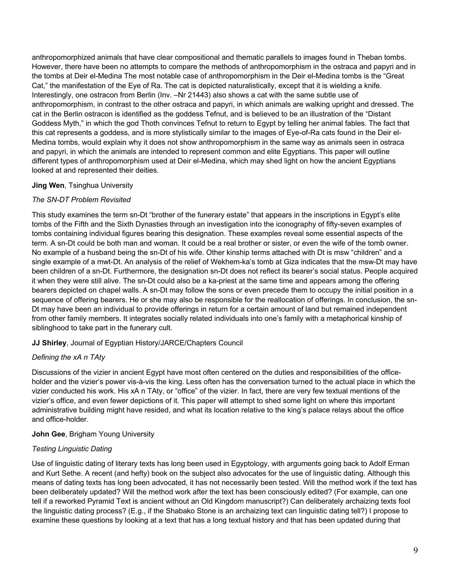anthropomorphized animals that have clear compositional and thematic parallels to images found in Theban tombs. However, there have been no attempts to compare the methods of anthropomorphism in the ostraca and papyri and in the tombs at Deir el-Medina The most notable case of anthropomorphism in the Deir el-Medina tombs is the "Great Cat," the manifestation of the Eye of Ra. The cat is depicted naturalistically, except that it is wielding a knife. Interestingly, one ostracon from Berlin (Inv. –Nr 21443) also shows a cat with the same subtle use of anthropomorphism, in contrast to the other ostraca and papyri, in which animals are walking upright and dressed. The cat in the Berlin ostracon is identified as the goddess Tefnut, and is believed to be an illustration of the "Distant Goddess Myth," in which the god Thoth convinces Tefnut to return to Egypt by telling her animal fables. The fact that this cat represents a goddess, and is more stylistically similar to the images of Eye-of-Ra cats found in the Deir el-Medina tombs, would explain why it does not show anthropomorphism in the same way as animals seen in ostraca and papyri, in which the animals are intended to represent common and elite Egyptians. This paper will outline different types of anthropomorphism used at Deir el-Medina, which may shed light on how the ancient Egyptians looked at and represented their deities.

### **Jing Wen**, Tsinghua University

### *The SN-DT Problem Revisited*

This study examines the term sn-Dt "brother of the funerary estate" that appears in the inscriptions in Egypt's elite tombs of the Fifth and the Sixth Dynasties through an investigation into the iconography of fifty-seven examples of tombs containing individual figures bearing this designation. These examples reveal some essential aspects of the term. A sn-Dt could be both man and woman. It could be a real brother or sister, or even the wife of the tomb owner. No example of a husband being the sn-Dt of his wife. Other kinship terms attached with Dt is msw "children" and a single example of a mwt-Dt. An analysis of the relief of Wekhem-ka's tomb at Giza indicates that the msw-Dt may have been children of a sn-Dt. Furthermore, the designation sn-Dt does not reflect its bearer's social status. People acquired it when they were still alive. The sn-Dt could also be a ka-priest at the same time and appears among the offering bearers depicted on chapel walls. A sn-Dt may follow the sons or even precede them to occupy the initial position in a sequence of offering bearers. He or she may also be responsible for the reallocation of offerings. In conclusion, the sn-Dt may have been an individual to provide offerings in return for a certain amount of land but remained independent from other family members. It integrates socially related individuals into one's family with a metaphorical kinship of siblinghood to take part in the funerary cult.

### **JJ Shirley**, Journal of Egyptian History/JARCE/Chapters Council

### *Defining the xA n TAty*

Discussions of the vizier in ancient Egypt have most often centered on the duties and responsibilities of the officeholder and the vizier's power vis-à-vis the king. Less often has the conversation turned to the actual place in which the vizier conducted his work. His xA n TAty, or "office" of the vizier. In fact, there are very few textual mentions of the vizier's office, and even fewer depictions of it. This paper will attempt to shed some light on where this important administrative building might have resided, and what its location relative to the king's palace relays about the office and office-holder.

### **John Gee**, Brigham Young University

### *Testing Linguistic Dating*

Use of linguistic dating of literary texts has long been used in Egyptology, with arguments going back to Adolf Erman and Kurt Sethe. A recent (and hefty) book on the subject also advocates for the use of linguistic dating. Although this means of dating texts has long been advocated, it has not necessarily been tested. Will the method work if the text has been deliberately updated? Will the method work after the text has been consciously edited? (For example, can one tell if a reworked Pyramid Text is ancient without an Old Kingdom manuscript?) Can deliberately archaizing texts fool the linguistic dating process? (E.g., if the Shabako Stone is an archaizing text can linguistic dating tell?) I propose to examine these questions by looking at a text that has a long textual history and that has been updated during that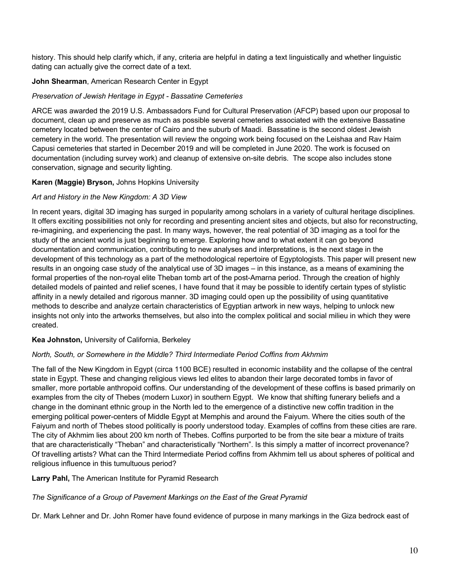history. This should help clarify which, if any, criteria are helpful in dating a text linguistically and whether linguistic dating can actually give the correct date of a text.

## **John Shearman**, American Research Center in Egypt

## *Preservation of Jewish Heritage in Egypt - Bassatine Cemeteries*

ARCE was awarded the 2019 U.S. Ambassadors Fund for Cultural Preservation (AFCP) based upon our proposal to document, clean up and preserve as much as possible several cemeteries associated with the extensive Bassatine cemetery located between the center of Cairo and the suburb of Maadi. Bassatine is the second oldest Jewish cemetery in the world. The presentation will review the ongoing work being focused on the Leishaa and Rav Haim Capusi cemeteries that started in December 2019 and will be completed in June 2020. The work is focused on documentation (including survey work) and cleanup of extensive on-site debris. The scope also includes stone conservation, signage and security lighting.

### **Karen (Maggie) Bryson,** Johns Hopkins University

### *Art and History in the New Kingdom: A 3D View*

In recent years, digital 3D imaging has surged in popularity among scholars in a variety of cultural heritage disciplines. It offers exciting possibilities not only for recording and presenting ancient sites and objects, but also for reconstructing, re-imagining, and experiencing the past. In many ways, however, the real potential of 3D imaging as a tool for the study of the ancient world is just beginning to emerge. Exploring how and to what extent it can go beyond documentation and communication, contributing to new analyses and interpretations, is the next stage in the development of this technology as a part of the methodological repertoire of Egyptologists. This paper will present new results in an ongoing case study of the analytical use of 3D images – in this instance, as a means of examining the formal properties of the non-royal elite Theban tomb art of the post-Amarna period. Through the creation of highly detailed models of painted and relief scenes, I have found that it may be possible to identify certain types of stylistic affinity in a newly detailed and rigorous manner. 3D imaging could open up the possibility of using quantitative methods to describe and analyze certain characteristics of Egyptian artwork in new ways, helping to unlock new insights not only into the artworks themselves, but also into the complex political and social milieu in which they were created.

### **Kea Johnston,** University of California, Berkeley

### *North, South, or Somewhere in the Middle? Third Intermediate Period Coffins from Akhmim*

The fall of the New Kingdom in Egypt (circa 1100 BCE) resulted in economic instability and the collapse of the central state in Egypt. These and changing religious views led elites to abandon their large decorated tombs in favor of smaller, more portable anthropoid coffins. Our understanding of the development of these coffins is based primarily on examples from the city of Thebes (modern Luxor) in southern Egypt. We know that shifting funerary beliefs and a change in the dominant ethnic group in the North led to the emergence of a distinctive new coffin tradition in the emerging political power-centers of Middle Egypt at Memphis and around the Faiyum. Where the cities south of the Faiyum and north of Thebes stood politically is poorly understood today. Examples of coffins from these cities are rare. The city of Akhmim lies about 200 km north of Thebes. Coffins purported to be from the site bear a mixture of traits that are characteristically "Theban" and characteristically "Northern". Is this simply a matter of incorrect provenance? Of travelling artists? What can the Third Intermediate Period coffins from Akhmim tell us about spheres of political and religious influence in this tumultuous period?

### **Larry Pahl,** The American Institute for Pyramid Research

## *The Significance of a Group of Pavement Markings on the East of the Great Pyramid*

Dr. Mark Lehner and Dr. John Romer have found evidence of purpose in many markings in the Giza bedrock east of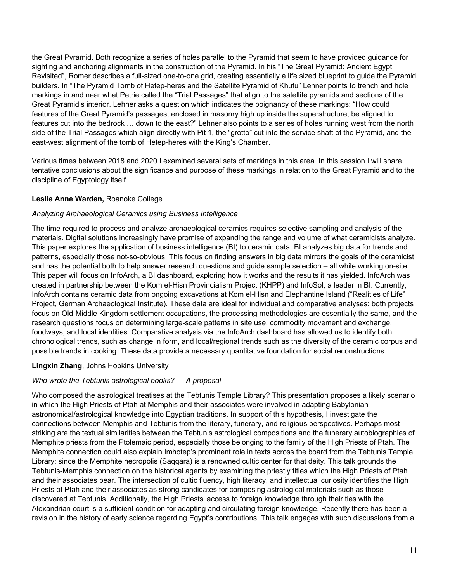the Great Pyramid. Both recognize a series of holes parallel to the Pyramid that seem to have provided guidance for sighting and anchoring alignments in the construction of the Pyramid. In his "The Great Pyramid: Ancient Egypt Revisited", Romer describes a full-sized one-to-one grid, creating essentially a life sized blueprint to guide the Pyramid builders. In "The Pyramid Tomb of Hetep-heres and the Satellite Pyramid of Khufu" Lehner points to trench and hole markings in and near what Petrie called the "Trial Passages" that align to the satellite pyramids and sections of the Great Pyramid's interior. Lehner asks a question which indicates the poignancy of these markings: "How could features of the Great Pyramid's passages, enclosed in masonry high up inside the superstructure, be aligned to features cut into the bedrock … down to the east?" Lehner also points to a series of holes running west from the north side of the Trial Passages which align directly with Pit 1, the "grotto" cut into the service shaft of the Pyramid, and the east-west alignment of the tomb of Hetep-heres with the King's Chamber.

Various times between 2018 and 2020 I examined several sets of markings in this area. In this session I will share tentative conclusions about the significance and purpose of these markings in relation to the Great Pyramid and to the discipline of Egyptology itself.

### **Leslie Anne Warden,** Roanoke College

### *Analyzing Archaeological Ceramics using Business Intelligence*

The time required to process and analyze archaeological ceramics requires selective sampling and analysis of the materials. Digital solutions increasingly have promise of expanding the range and volume of what ceramicists analyze. This paper explores the application of business intelligence (BI) to ceramic data. BI analyzes big data for trends and patterns, especially those not-so-obvious. This focus on finding answers in big data mirrors the goals of the ceramicist and has the potential both to help answer research questions and guide sample selection – all while working on-site. This paper will focus on InfoArch, a BI dashboard, exploring how it works and the results it has yielded. InfoArch was created in partnership between the Kom el-Hisn Provincialism Project (KHPP) and InfoSol, a leader in BI. Currently, InfoArch contains ceramic data from ongoing excavations at Kom el-Hisn and Elephantine Island ("Realities of Life" Project, German Archaeological Institute). These data are ideal for individual and comparative analyses: both projects focus on Old-Middle Kingdom settlement occupations, the processing methodologies are essentially the same, and the research questions focus on determining large-scale patterns in site use, commodity movement and exchange, foodways, and local identities. Comparative analysis via the InfoArch dashboard has allowed us to identify both chronological trends, such as change in form, and local/regional trends such as the diversity of the ceramic corpus and possible trends in cooking. These data provide a necessary quantitative foundation for social reconstructions.

### **Lingxin Zhang**, Johns Hopkins University

### *Who wrote the Tebtunis astrological books? — A proposal*

Who composed the astrological treatises at the Tebtunis Temple Library? This presentation proposes a likely scenario in which the High Priests of Ptah at Memphis and their associates were involved in adapting Babylonian astronomical/astrological knowledge into Egyptian traditions. In support of this hypothesis, I investigate the connections between Memphis and Tebtunis from the literary, funerary, and religious perspectives. Perhaps most striking are the textual similarities between the Tebtunis astrological compositions and the funerary autobiographies of Memphite priests from the Ptolemaic period, especially those belonging to the family of the High Priests of Ptah. The Memphite connection could also explain Imhotep's prominent role in texts across the board from the Tebtunis Temple Library; since the Memphite necropolis (Saqqara) is a renowned cultic center for that deity. This talk grounds the Tebtunis-Memphis connection on the historical agents by examining the priestly titles which the High Priests of Ptah and their associates bear. The intersection of cultic fluency, high literacy, and intellectual curiosity identifies the High Priests of Ptah and their associates as strong candidates for composing astrological materials such as those discovered at Tebtunis. Additionally, the High Priests' access to foreign knowledge through their ties with the Alexandrian court is a sufficient condition for adapting and circulating foreign knowledge. Recently there has been a revision in the history of early science regarding Egypt's contributions. This talk engages with such discussions from a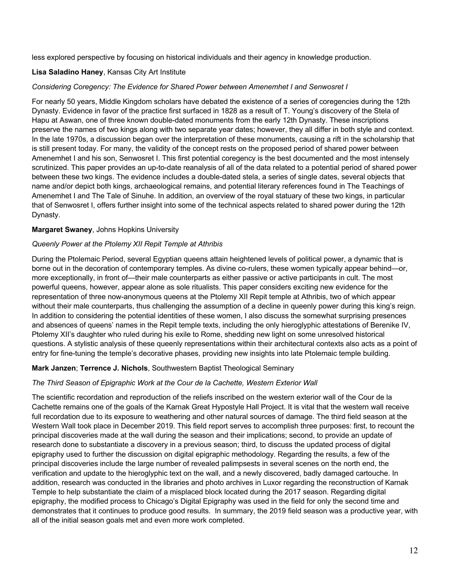less explored perspective by focusing on historical individuals and their agency in knowledge production.

### **Lisa Saladino Haney**, Kansas City Art Institute

### *Considering Coregency: The Evidence for Shared Power between Amenemhet I and Senwosret I*

For nearly 50 years, Middle Kingdom scholars have debated the existence of a series of coregencies during the 12th Dynasty. Evidence in favor of the practice first surfaced in 1828 as a result of T. Young's discovery of the Stela of Hapu at Aswan, one of three known double-dated monuments from the early 12th Dynasty. These inscriptions preserve the names of two kings along with two separate year dates; however, they all differ in both style and context. In the late 1970s, a discussion began over the interpretation of these monuments, causing a rift in the scholarship that is still present today. For many, the validity of the concept rests on the proposed period of shared power between Amenemhet I and his son, Senwosret I. This first potential coregency is the best documented and the most intensely scrutinized. This paper provides an up-to-date reanalysis of all of the data related to a potential period of shared power between these two kings. The evidence includes a double-dated stela, a series of single dates, several objects that name and/or depict both kings, archaeological remains, and potential literary references found in The Teachings of Amenemhet I and The Tale of Sinuhe. In addition, an overview of the royal statuary of these two kings, in particular that of Senwosret I, offers further insight into some of the technical aspects related to shared power during the 12th Dynasty.

### **Margaret Swaney**, Johns Hopkins University

### *Queenly Power at the Ptolemy XII Repit Temple at Athribis*

During the Ptolemaic Period, several Egyptian queens attain heightened levels of political power, a dynamic that is borne out in the decoration of contemporary temples. As divine co-rulers, these women typically appear behind—or, more exceptionally, in front of—their male counterparts as either passive or active participants in cult. The most powerful queens, however, appear alone as sole ritualists. This paper considers exciting new evidence for the representation of three now-anonymous queens at the Ptolemy XII Repit temple at Athribis, two of which appear without their male counterparts, thus challenging the assumption of a decline in queenly power during this king's reign. In addition to considering the potential identities of these women, I also discuss the somewhat surprising presences and absences of queens' names in the Repit temple texts, including the only hieroglyphic attestations of Berenike IV, Ptolemy XII's daughter who ruled during his exile to Rome, shedding new light on some unresolved historical questions. A stylistic analysis of these queenly representations within their architectural contexts also acts as a point of entry for fine-tuning the temple's decorative phases, providing new insights into late Ptolemaic temple building.

### **Mark Janzen**; **Terrence J. Nichols**, Southwestern Baptist Theological Seminary

### *The Third Season of Epigraphic Work at the Cour de la Cachette, Western Exterior Wall*

The scientific recordation and reproduction of the reliefs inscribed on the western exterior wall of the Cour de la Cachette remains one of the goals of the Karnak Great Hypostyle Hall Project. It is vital that the western wall receive full recordation due to its exposure to weathering and other natural sources of damage. The third field season at the Western Wall took place in December 2019. This field report serves to accomplish three purposes: first, to recount the principal discoveries made at the wall during the season and their implications; second, to provide an update of research done to substantiate a discovery in a previous season; third, to discuss the updated process of digital epigraphy used to further the discussion on digital epigraphic methodology. Regarding the results, a few of the principal discoveries include the large number of revealed palimpsests in several scenes on the north end, the verification and update to the hieroglyphic text on the wall, and a newly discovered, badly damaged cartouche. In addition, research was conducted in the libraries and photo archives in Luxor regarding the reconstruction of Karnak Temple to help substantiate the claim of a misplaced block located during the 2017 season. Regarding digital epigraphy, the modified process to Chicago's Digital Epigraphy was used in the field for only the second time and demonstrates that it continues to produce good results. In summary, the 2019 field season was a productive year, with all of the initial season goals met and even more work completed.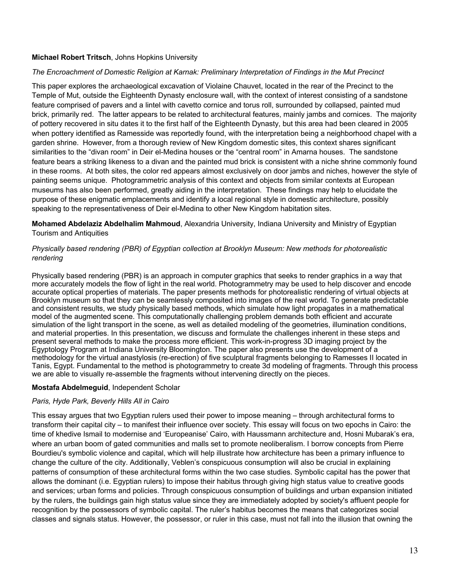### **Michael Robert Tritsch**, Johns Hopkins University

#### *The Encroachment of Domestic Religion at Karnak: Preliminary Interpretation of Findings in the Mut Precinct*

This paper explores the archaeological excavation of Violaine Chauvet, located in the rear of the Precinct to the Temple of Mut, outside the Eighteenth Dynasty enclosure wall, with the context of interest consisting of a sandstone feature comprised of pavers and a lintel with cavetto cornice and torus roll, surrounded by collapsed, painted mud brick, primarily red. The latter appears to be related to architectural features, mainly jambs and cornices. The majority of pottery recovered in situ dates it to the first half of the Eighteenth Dynasty, but this area had been cleared in 2005 when pottery identified as Ramesside was reportedly found, with the interpretation being a neighborhood chapel with a garden shrine. However, from a thorough review of New Kingdom domestic sites, this context shares significant similarities to the "divan room" in Deir el-Medina houses or the "central room" in Amarna houses. The sandstone feature bears a striking likeness to a divan and the painted mud brick is consistent with a niche shrine commonly found in these rooms. At both sites, the color red appears almost exclusively on door jambs and niches, however the style of painting seems unique. Photogrammetric analysis of this context and objects from similar contexts at European museums has also been performed, greatly aiding in the interpretation. These findings may help to elucidate the purpose of these enigmatic emplacements and identify a local regional style in domestic architecture, possibly speaking to the representativeness of Deir el-Medina to other New Kingdom habitation sites.

**Mohamed Abdelaziz Abdelhalim Mahmoud**, Alexandria University, Indiana University and Ministry of Egyptian Tourism and Antiquities

### *Physically based rendering (PBR) of Egyptian collection at Brooklyn Museum: New methods for photorealistic rendering*

Physically based rendering (PBR) is an approach in computer graphics that seeks to render graphics in a way that more accurately models the flow of light in the real world. Photogrammetry may be used to help discover and encode accurate optical properties of materials. The paper presents methods for photorealistic rendering of virtual objects at Brooklyn museum so that they can be seamlessly composited into images of the real world. To generate predictable and consistent results, we study physically based methods, which simulate how light propagates in a mathematical model of the augmented scene. This computationally challenging problem demands both efficient and accurate simulation of the light transport in the scene, as well as detailed modeling of the geometries, illumination conditions, and material properties. In this presentation, we discuss and formulate the challenges inherent in these steps and present several methods to make the process more efficient. This work-in-progress 3D imaging project by the Egyptology Program at Indiana University Bloomington. The paper also presents use the development of a methodology for the virtual anastylosis (re-erection) of five sculptural fragments belonging to Ramesses II located in Tanis, Egypt. Fundamental to the method is photogrammetry to create 3d modeling of fragments. Through this process we are able to visually re-assemble the fragments without intervening directly on the pieces.

### **Mostafa Abdelmeguid**, Independent Scholar

### *Paris, Hyde Park, Beverly Hills All in Cairo*

This essay argues that two Egyptian rulers used their power to impose meaning – through architectural forms to transform their capital city – to manifest their influence over society. This essay will focus on two epochs in Cairo: the time of khedive Ismail to modernise and 'Europeanise' Cairo, with Haussmann architecture and, Hosni Mubarak's era, where an urban boom of gated communities and malls set to promote neoliberalism. I borrow concepts from Pierre Bourdieu's symbolic violence and capital, which will help illustrate how architecture has been a primary influence to change the culture of the city. Additionally, Veblen's conspicuous consumption will also be crucial in explaining patterns of consumption of these architectural forms within the two case studies. Symbolic capital has the power that allows the dominant (i.e. Egyptian rulers) to impose their habitus through giving high status value to creative goods and services; urban forms and policies. Through conspicuous consumption of buildings and urban expansion initiated by the rulers, the buildings gain high status value since they are immediately adopted by society's affluent people for recognition by the possessors of symbolic capital. The ruler's habitus becomes the means that categorizes social classes and signals status. However, the possessor, or ruler in this case, must not fall into the illusion that owning the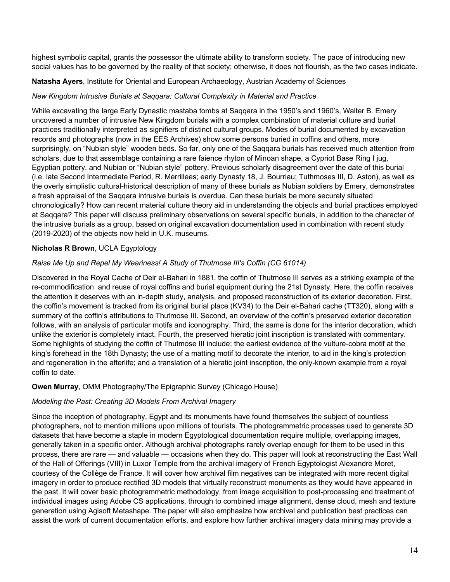highest symbolic capital, grants the possessor the ultimate ability to transform society. The pace of introducing new social values has to be governed by the reality of that society; otherwise, it does not flourish, as the two cases indicate.

### **Natasha Ayers**, Institute for Oriental and European Archaeology, Austrian Academy of Sciences

### *New Kingdom Intrusive Burials at Saqqara: Cultural Complexity in Material and Practice*

While excavating the large Early Dynastic mastaba tombs at Saggara in the 1950's and 1960's, Walter B. Emery uncovered a number of intrusive New Kingdom burials with a complex combination of material culture and burial practices traditionally interpreted as signifiers of distinct cultural groups. Modes of burial documented by excavation records and photographs (now in the EES Archives) show some persons buried in coffins and others, more surprisingly, on "Nubian style" wooden beds. So far, only one of the Saqqara burials has received much attention from scholars, due to that assemblage containing a rare faience rhyton of Minoan shape, a Cypriot Base Ring I jug, Egyptian pottery, and Nubian or "Nubian style" pottery. Previous scholarly disagreement over the date of this burial (i.e. late Second Intermediate Period, R. Merrillees; early Dynasty 18, J. Bourriau; Tuthmoses III, D. Aston), as well as the overly simplistic cultural-historical description of many of these burials as Nubian soldiers by Emery, demonstrates a fresh appraisal of the Saqqara intrusive burials is overdue. Can these burials be more securely situated chronologically? How can recent material culture theory aid in understanding the objects and burial practices employed at Saqqara? This paper will discuss preliminary observations on several specific burials, in addition to the character of the intrusive burials as a group, based on original excavation documentation used in combination with recent study (2019-2020) of the objects now held in U.K. museums.

## **Nicholas R Brown**, UCLA Egyptology

## *Raise Me Up and Repel My Weariness! A Study of Thutmose III's Coffin (CG 61014)*

Discovered in the Royal Cache of Deir el-Bahari in 1881, the coffin of Thutmose III serves as a striking example of the re-commodification and reuse of royal coffins and burial equipment during the 21st Dynasty. Here, the coffin receives the attention it deserves with an in-depth study, analysis, and proposed reconstruction of its exterior decoration. First, the coffin's movement is tracked from its original burial place (KV34) to the Deir el-Bahari cache (TT320), along with a summary of the coffin's attributions to Thutmose III. Second, an overview of the coffin's preserved exterior decoration follows, with an analysis of particular motifs and iconography. Third, the same is done for the interior decoration, which unlike the exterior is completely intact. Fourth, the preserved hieratic joint inscription is translated with commentary. Some highlights of studying the coffin of Thutmose III include: the earliest evidence of the vulture-cobra motif at the king's forehead in the 18th Dynasty; the use of a matting motif to decorate the interior, to aid in the king's protection and regeneration in the afterlife; and a translation of a hieratic joint inscription, the only-known example from a royal coffin to date.

### **Owen Murray**, OMM Photography/The Epigraphic Survey (Chicago House)

### *Modeling the Past: Creating 3D Models From Archival Imagery*

Since the inception of photography, Egypt and its monuments have found themselves the subject of countless photographers, not to mention millions upon millions of tourists. The photogrammetric processes used to generate 3D datasets that have become a staple in modern Egyptological documentation require multiple, overlapping images, generally taken in a specific order. Although archival photographs rarely overlap enough for them to be used in this process, there are rare — and valuable — occasions when they do. This paper will look at reconstructing the East Wall of the Hall of Offerings (VIII) in Luxor Temple from the archival imagery of French Egyptologist Alexandre Moret, courtesy of the Collège de France. It will cover how archival film negatives can be integrated with more recent digital imagery in order to produce rectified 3D models that virtually reconstruct monuments as they would have appeared in the past. It will cover basic photogrammetric methodology, from image acquisition to post-processing and treatment of individual images using Adobe CS applications, through to combined image alignment, dense cloud, mesh and texture generation using Agisoft Metashape. The paper will also emphasize how archival and publication best practices can assist the work of current documentation efforts, and explore how further archival imagery data mining may provide a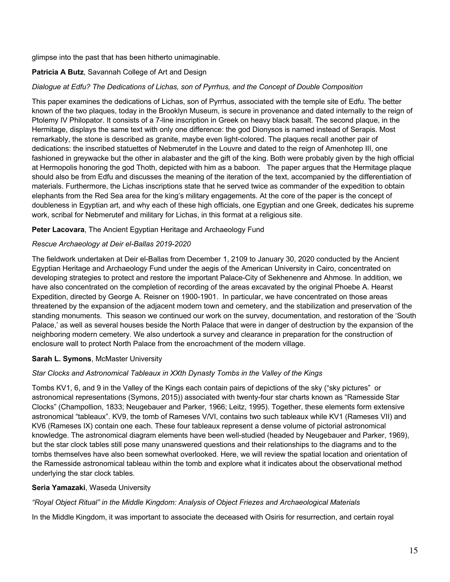glimpse into the past that has been hitherto unimaginable.

## **Patricia A Butz**, Savannah College of Art and Design

### *Dialogue at Edfu? The Dedications of Lichas, son of Pyrrhus, and the Concept of Double Composition*

This paper examines the dedications of Lichas, son of Pyrrhus, associated with the temple site of Edfu. The better known of the two plaques, today in the Brooklyn Museum, is secure in provenance and dated internally to the reign of Ptolemy IV Philopator. It consists of a 7-line inscription in Greek on heavy black basalt. The second plaque, in the Hermitage, displays the same text with only one difference: the god Dionysos is named instead of Serapis. Most remarkably, the stone is described as granite, maybe even light-colored. The plaques recall another pair of dedications: the inscribed statuettes of Nebmerutef in the Louvre and dated to the reign of Amenhotep III, one fashioned in greywacke but the other in alabaster and the gift of the king. Both were probably given by the high official at Hermopolis honoring the god Thoth, depicted with him as a baboon. The paper argues that the Hermitage plaque should also be from Edfu and discusses the meaning of the iteration of the text, accompanied by the differentiation of materials. Furthermore, the Lichas inscriptions state that he served twice as commander of the expedition to obtain elephants from the Red Sea area for the king's military engagements. At the core of the paper is the concept of doubleness in Egyptian art, and why each of these high officials, one Egyptian and one Greek, dedicates his supreme work, scribal for Nebmerutef and military for Lichas, in this format at a religious site.

### **Peter Lacovara**, The Ancient Egyptian Heritage and Archaeology Fund

### *Rescue Archaeology at Deir el-Ballas 2019-2020*

The fieldwork undertaken at Deir el-Ballas from December 1, 2109 to January 30, 2020 conducted by the Ancient Egyptian Heritage and Archaeology Fund under the aegis of the American University in Cairo, concentrated on developing strategies to protect and restore the important Palace-City of Sekhenenre and Ahmose. In addition, we have also concentrated on the completion of recording of the areas excavated by the original Phoebe A. Hearst Expedition, directed by George A. Reisner on 1900-1901. In particular, we have concentrated on those areas threatened by the expansion of the adjacent modern town and cemetery, and the stabilization and preservation of the standing monuments. This season we continued our work on the survey, documentation, and restoration of the 'South Palace,' as well as several houses beside the North Palace that were in danger of destruction by the expansion of the neighboring modern cemetery. We also undertook a survey and clearance in preparation for the construction of enclosure wall to protect North Palace from the encroachment of the modern village.

## **Sarah L. Symons**, McMaster University

## *Star Clocks and Astronomical Tableaux in XXth Dynasty Tombs in the Valley of the Kings*

Tombs KV1, 6, and 9 in the Valley of the Kings each contain pairs of depictions of the sky ("sky pictures" or astronomical representations (Symons, 2015)) associated with twenty-four star charts known as "Ramesside Star Clocks" (Champollion, 1833; Neugebauer and Parker, 1966; Leitz, 1995). Together, these elements form extensive astronomical "tableaux". KV9, the tomb of Rameses V/VI, contains two such tableaux while KV1 (Rameses VII) and KV6 (Rameses IX) contain one each. These four tableaux represent a dense volume of pictorial astronomical knowledge. The astronomical diagram elements have been well-studied (headed by Neugebauer and Parker, 1969), but the star clock tables still pose many unanswered questions and their relationships to the diagrams and to the tombs themselves have also been somewhat overlooked. Here, we will review the spatial location and orientation of the Ramesside astronomical tableau within the tomb and explore what it indicates about the observational method underlying the star clock tables.

### **Seria Yamazaki**, Waseda University

### *"Royal Object Ritual" in the Middle Kingdom: Analysis of Object Friezes and Archaeological Materials*

In the Middle Kingdom, it was important to associate the deceased with Osiris for resurrection, and certain royal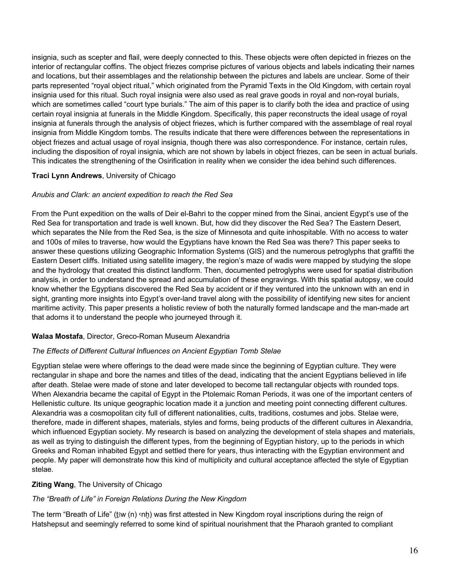insignia, such as scepter and flail, were deeply connected to this. These objects were often depicted in friezes on the interior of rectangular coffins. The object friezes comprise pictures of various objects and labels indicating their names and locations, but their assemblages and the relationship between the pictures and labels are unclear. Some of their parts represented "royal object ritual," which originated from the Pyramid Texts in the Old Kingdom, with certain royal insignia used for this ritual. Such royal insignia were also used as real grave goods in royal and non-royal burials, which are sometimes called "court type burials." The aim of this paper is to clarify both the idea and practice of using certain royal insignia at funerals in the Middle Kingdom. Specifically, this paper reconstructs the ideal usage of royal insignia at funerals through the analysis of object friezes, which is further compared with the assemblage of real royal insignia from Middle Kingdom tombs. The results indicate that there were differences between the representations in object friezes and actual usage of royal insignia, though there was also correspondence. For instance, certain rules, including the disposition of royal insignia, which are not shown by labels in object friezes, can be seen in actual burials. This indicates the strengthening of the Osirification in reality when we consider the idea behind such differences.

## **Traci Lynn Andrews**, University of Chicago

### *Anubis and Clark: an ancient expedition to reach the Red Sea*

From the Punt expedition on the walls of Deir el-Bahri to the copper mined from the Sinai, ancient Egypt's use of the Red Sea for transportation and trade is well known. But, how did they discover the Red Sea? The Eastern Desert, which separates the Nile from the Red Sea, is the size of Minnesota and quite inhospitable. With no access to water and 100s of miles to traverse, how would the Egyptians have known the Red Sea was there? This paper seeks to answer these questions utilizing Geographic Information Systems (GIS) and the numerous petroglyphs that graffiti the Eastern Desert cliffs. Initiated using satellite imagery, the region's maze of wadis were mapped by studying the slope and the hydrology that created this distinct landform. Then, documented petroglyphs were used for spatial distribution analysis, in order to understand the spread and accumulation of these engravings. With this spatial autopsy, we could know whether the Egyptians discovered the Red Sea by accident or if they ventured into the unknown with an end in sight, granting more insights into Egypt's over-land travel along with the possibility of identifying new sites for ancient maritime activity. This paper presents a holistic review of both the naturally formed landscape and the man-made art that adorns it to understand the people who journeyed through it.

### **Walaa Mostafa**, Director, Greco-Roman Museum Alexandria

### *The Effects of Different Cultural Influences on Ancient Egyptian Tomb Stelae*

Egyptian stelae were where offerings to the dead were made since the beginning of Egyptian culture. They were rectangular in shape and bore the names and titles of the dead, indicating that the ancient Egyptians believed in life after death. Stelae were made of stone and later developed to become tall rectangular objects with rounded tops. When Alexandria became the capital of Egypt in the Ptolemaic Roman Periods, it was one of the important centers of Hellenistic culture. Its unique geographic location made it a junction and meeting point connecting different cultures. Alexandria was a cosmopolitan city full of different nationalities, cults, traditions, costumes and jobs. Stelae were, therefore, made in different shapes, materials, styles and forms, being products of the different cultures in Alexandria, which influenced Egyptian society. My research is based on analyzing the development of stela shapes and materials, as well as trying to distinguish the different types, from the beginning of Egyptian history, up to the periods in which Greeks and Roman inhabited Egypt and settled there for years, thus interacting with the Egyptian environment and people. My paper will demonstrate how this kind of multiplicity and cultural acceptance affected the style of Egyptian stelae.

## **Ziting Wang**, The University of Chicago

## *The "Breath of Life" in Foreign Relations During the New Kingdom*

The term "Breath of Life" (tw (n) onh) was first attested in New Kingdom royal inscriptions during the reign of Hatshepsut and seemingly referred to some kind of spiritual nourishment that the Pharaoh granted to compliant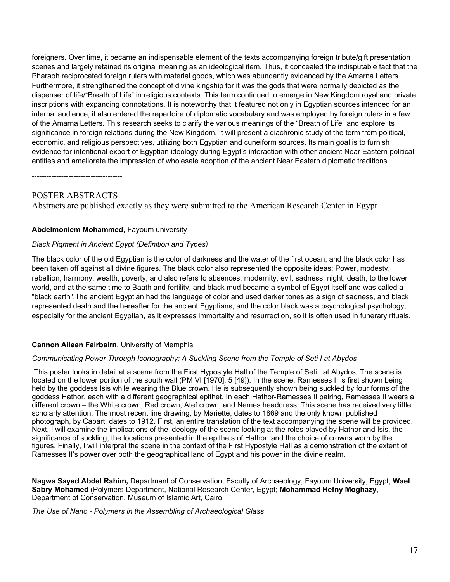foreigners. Over time, it became an indispensable element of the texts accompanying foreign tribute/gift presentation scenes and largely retained its original meaning as an ideological item. Thus, it concealed the indisputable fact that the Pharaoh reciprocated foreign rulers with material goods, which was abundantly evidenced by the Amarna Letters. Furthermore, it strengthened the concept of divine kingship for it was the gods that were normally depicted as the dispenser of life/"Breath of Life" in religious contexts. This term continued to emerge in New Kingdom royal and private inscriptions with expanding connotations. It is noteworthy that it featured not only in Egyptian sources intended for an internal audience; it also entered the repertoire of diplomatic vocabulary and was employed by foreign rulers in a few of the Amarna Letters. This research seeks to clarify the various meanings of the "Breath of Life" and explore its significance in foreign relations during the New Kingdom. It will present a diachronic study of the term from political, economic, and religious perspectives, utilizing both Egyptian and cuneiform sources. Its main goal is to furnish evidence for intentional export of Egyptian ideology during Egypt's interaction with other ancient Near Eastern political entities and ameliorate the impression of wholesale adoption of the ancient Near Eastern diplomatic traditions.

-------------------------------------

# POSTER ABSTRACTS

Abstracts are published exactly as they were submitted to the American Research Center in Egypt

### **Abdelmoniem Mohammed**, Fayoum university

### *Black Pigment in Ancient Egypt (Definition and Types)*

The black color of the old Egyptian is the color of darkness and the water of the first ocean, and the black color has been taken off against all divine figures. The black color also represented the opposite ideas: Power, modesty, rebellion, harmony, wealth, poverty, and also refers to absences, modernity, evil, sadness, night, death, to the lower world, and at the same time to Baath and fertility, and black mud became a symbol of Egypt itself and was called a "black earth".The ancient Egyptian had the language of color and used darker tones as a sign of sadness, and black represented death and the hereafter for the ancient Egyptians, and the color black was a psychological psychology, especially for the ancient Egyptian, as it expresses immortality and resurrection, so it is often used in funerary rituals.

### **Cannon Aileen Fairbairn**, University of Memphis

### *Communicating Power Through Iconography: A Suckling Scene from the Temple of Seti I at Abydos*

This poster looks in detail at a scene from the First Hypostyle Hall of the Temple of Seti I at Abydos. The scene is located on the lower portion of the south wall (PM VI [1970], 5 [49]). In the scene, Ramesses II is first shown being held by the goddess Isis while wearing the Blue crown. He is subsequently shown being suckled by four forms of the goddess Hathor, each with a different geographical epithet. In each Hathor-Ramesses II pairing, Ramesses II wears a different crown – the White crown, Red crown, Atef crown, and Nemes headdress. This scene has received very little scholarly attention. The most recent line drawing, by Mariette, dates to 1869 and the only known published photograph, by Capart, dates to 1912. First, an entire translation of the text accompanying the scene will be provided. Next, I will examine the implications of the ideology of the scene looking at the roles played by Hathor and Isis, the significance of suckling, the locations presented in the epithets of Hathor, and the choice of crowns worn by the figures. Finally, I will interpret the scene in the context of the First Hypostyle Hall as a demonstration of the extent of Ramesses II's power over both the geographical land of Egypt and his power in the divine realm.

**Nagwa Sayed Abdel Rahim,** Department of Conservation, Faculty of Archaeology, Fayoum University, Egypt; **Wael Sabry Mohamed** (Polymers Department, National Research Center, Egypt; **Mohammad Hefny Moghazy**, Department of Conservation, Museum of Islamic Art, Cairo

*The Use of Nano - Polymers in the Assembling of Archaeological Glass*